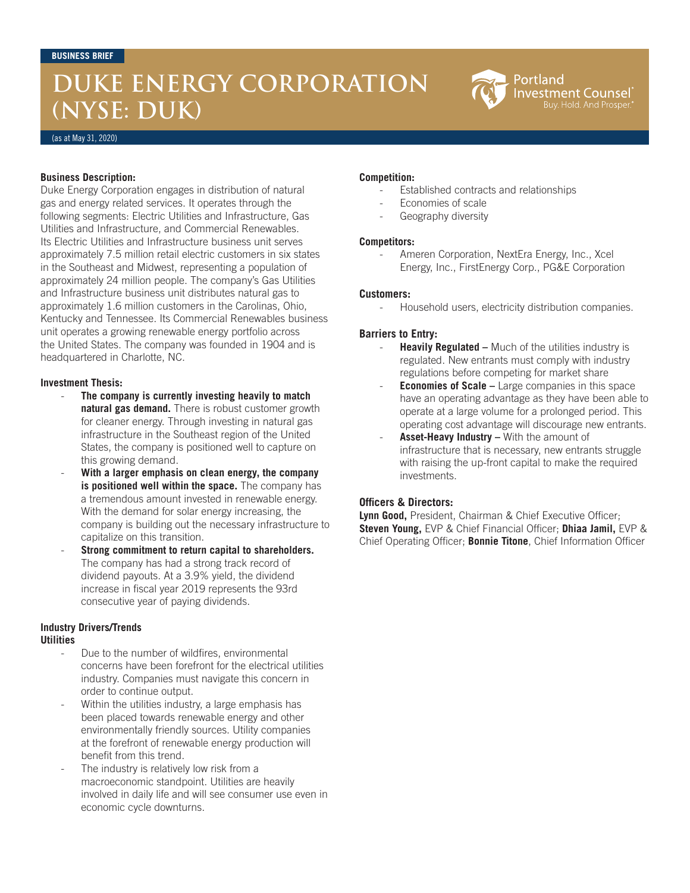# **DUKE ENERGY CORPORATION (NYSE: DUK)**



#### (as at May 31, 2020)

#### **Business Description:**

Duke Energy Corporation engages in distribution of natural gas and energy related services. It operates through the following segments: Electric Utilities and Infrastructure, Gas Utilities and Infrastructure, and Commercial Renewables. Its Electric Utilities and Infrastructure business unit serves approximately 7.5 million retail electric customers in six states in the Southeast and Midwest, representing a population of approximately 24 million people. The company's Gas Utilities and Infrastructure business unit distributes natural gas to approximately 1.6 million customers in the Carolinas, Ohio, Kentucky and Tennessee. Its Commercial Renewables business unit operates a growing renewable energy portfolio across the United States. The company was founded in 1904 and is headquartered in Charlotte, NC.

#### **Investment Thesis:**

- The company is currently investing heavily to match **natural gas demand.** There is robust customer growth for cleaner energy. Through investing in natural gas infrastructure in the Southeast region of the United States, the company is positioned well to capture on this growing demand.
- **With a larger emphasis on clean energy, the company is positioned well within the space.** The company has a tremendous amount invested in renewable energy. With the demand for solar energy increasing, the company is building out the necessary infrastructure to capitalize on this transition.
- **Strong commitment to return capital to shareholders.**  The company has had a strong track record of dividend payouts. At a 3.9% yield, the dividend increase in fiscal year 2019 represents the 93rd consecutive year of paying dividends.

# **Industry Drivers/Trends**

### **Utilities**

- Due to the number of wildfires, environmental concerns have been forefront for the electrical utilities industry. Companies must navigate this concern in order to continue output.
- Within the utilities industry, a large emphasis has been placed towards renewable energy and other environmentally friendly sources. Utility companies at the forefront of renewable energy production will benefit from this trend.
- The industry is relatively low risk from a macroeconomic standpoint. Utilities are heavily involved in daily life and will see consumer use even in economic cycle downturns.

#### **Competition:**

- Established contracts and relationships
- Economies of scale
- Geography diversity

#### **Competitors:**

Ameren Corporation, NextEra Energy, Inc., Xcel Energy, Inc., FirstEnergy Corp., PG&E Corporation

#### **Customers:**

Household users, electricity distribution companies.

### **Barriers to Entry:**

- **Heavily Regulated –** Much of the utilities industry is regulated. New entrants must comply with industry regulations before competing for market share
- **Economies of Scale –** Large companies in this space have an operating advantage as they have been able to operate at a large volume for a prolonged period. This operating cost advantage will discourage new entrants.
- Asset-Heavy Industry With the amount of infrastructure that is necessary, new entrants struggle with raising the up-front capital to make the required investments.

#### **Officers & Directors:**

**Lynn Good,** President, Chairman & Chief Executive Officer; **Steven Young,** EVP & Chief Financial Officer; **Dhiaa Jamil,** EVP & Chief Operating Officer; **Bonnie Titone**, Chief Information Officer